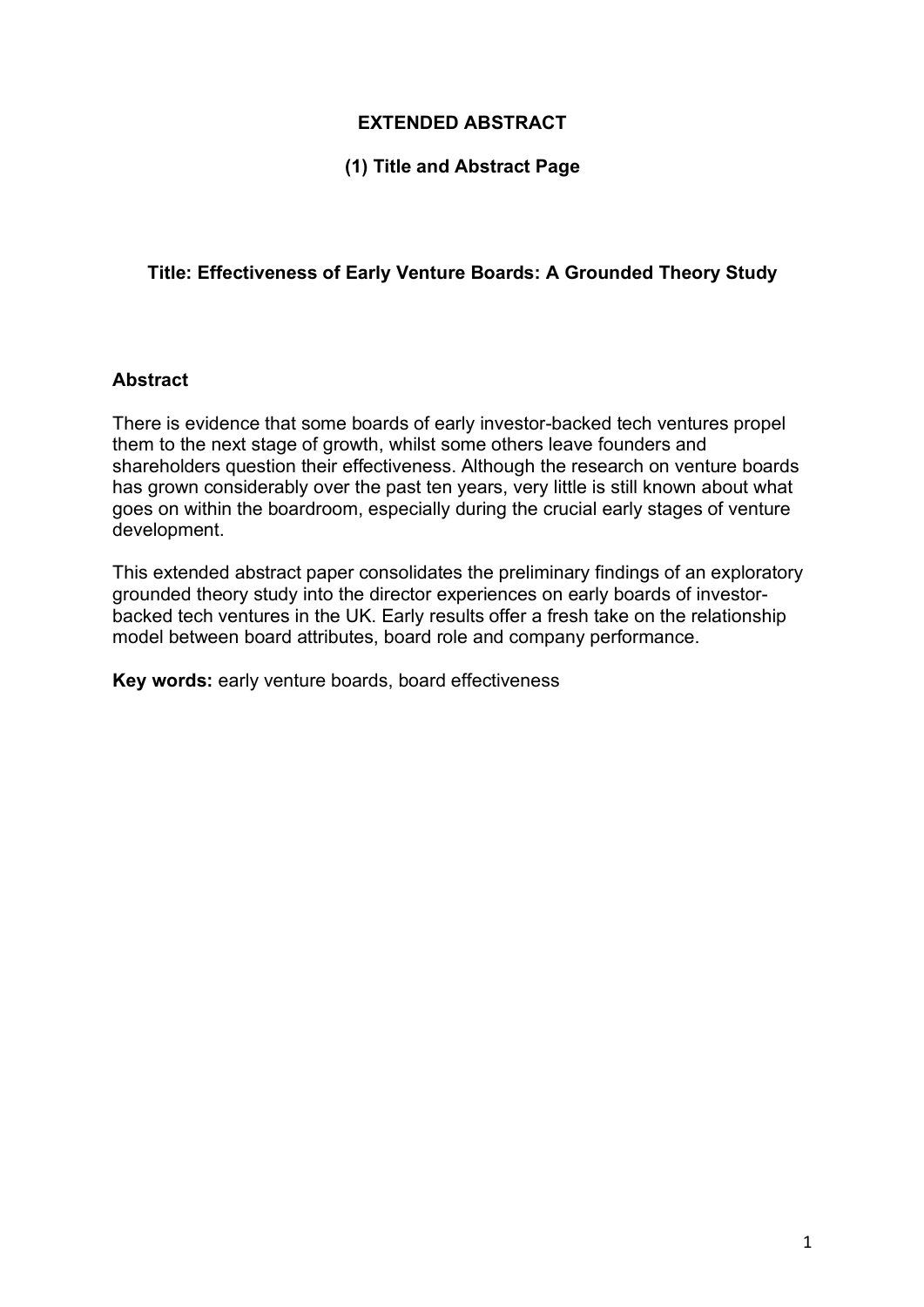### **EXTENDED ABSTRACT**

#### **(1) Title and Abstract Page**

#### **Title: Effectiveness of Early Venture Boards: A Grounded Theory Study**

#### **Abstract**

There is evidence that some boards of early investor-backed tech ventures propel them to the next stage of growth, whilst some others leave founders and shareholders question their effectiveness. Although the research on venture boards has grown considerably over the past ten years, very little is still known about what goes on within the boardroom, especially during the crucial early stages of venture development.

This extended abstract paper consolidates the preliminary findings of an exploratory grounded theory study into the director experiences on early boards of investorbacked tech ventures in the UK. Early results offer a fresh take on the relationship model between board attributes, board role and company performance.

**Key words:** early venture boards, board effectiveness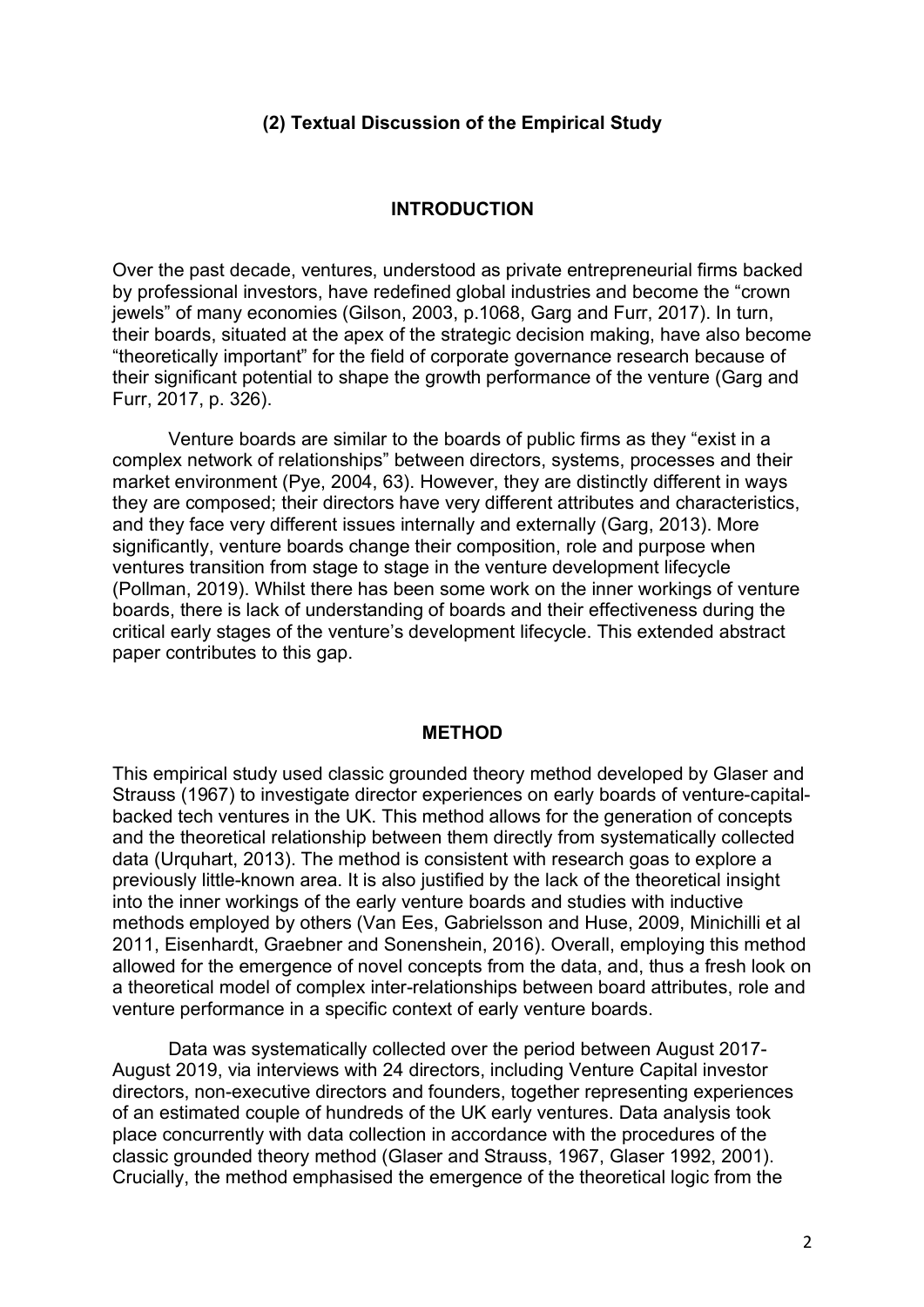#### **(2) Textual Discussion of the Empirical Study**

#### **INTRODUCTION**

Over the past decade, ventures, understood as private entrepreneurial firms backed by professional investors, have redefined global industries and become the "crown jewels" of many economies (Gilson, 2003, p.1068, Garg and Furr, 2017). In turn, their boards, situated at the apex of the strategic decision making, have also become "theoretically important" for the field of corporate governance research because of their significant potential to shape the growth performance of the venture (Garg and Furr, 2017, p. 326).

Venture boards are similar to the boards of public firms as they "exist in a complex network of relationships" between directors, systems, processes and their market environment (Pye, 2004, 63). However, they are distinctly different in ways they are composed; their directors have very different attributes and characteristics, and they face very different issues internally and externally (Garg, 2013). More significantly, venture boards change their composition, role and purpose when ventures transition from stage to stage in the venture development lifecycle (Pollman, 2019). Whilst there has been some work on the inner workings of venture boards, there is lack of understanding of boards and their effectiveness during the critical early stages of the venture's development lifecycle. This extended abstract paper contributes to this gap.

#### **METHOD**

This empirical study used classic grounded theory method developed by Glaser and Strauss (1967) to investigate director experiences on early boards of venture-capitalbacked tech ventures in the UK. This method allows for the generation of concepts and the theoretical relationship between them directly from systematically collected data (Urquhart, 2013). The method is consistent with research goas to explore a previously little-known area. It is also justified by the lack of the theoretical insight into the inner workings of the early venture boards and studies with inductive methods employed by others (Van Ees, Gabrielsson and Huse, 2009, Minichilli et al 2011, Eisenhardt, Graebner and Sonenshein, 2016). Overall, employing this method allowed for the emergence of novel concepts from the data, and, thus a fresh look on a theoretical model of complex inter-relationships between board attributes, role and venture performance in a specific context of early venture boards.

Data was systematically collected over the period between August 2017- August 2019, via interviews with 24 directors, including Venture Capital investor directors, non-executive directors and founders, together representing experiences of an estimated couple of hundreds of the UK early ventures. Data analysis took place concurrently with data collection in accordance with the procedures of the classic grounded theory method (Glaser and Strauss, 1967, Glaser 1992, 2001). Crucially, the method emphasised the emergence of the theoretical logic from the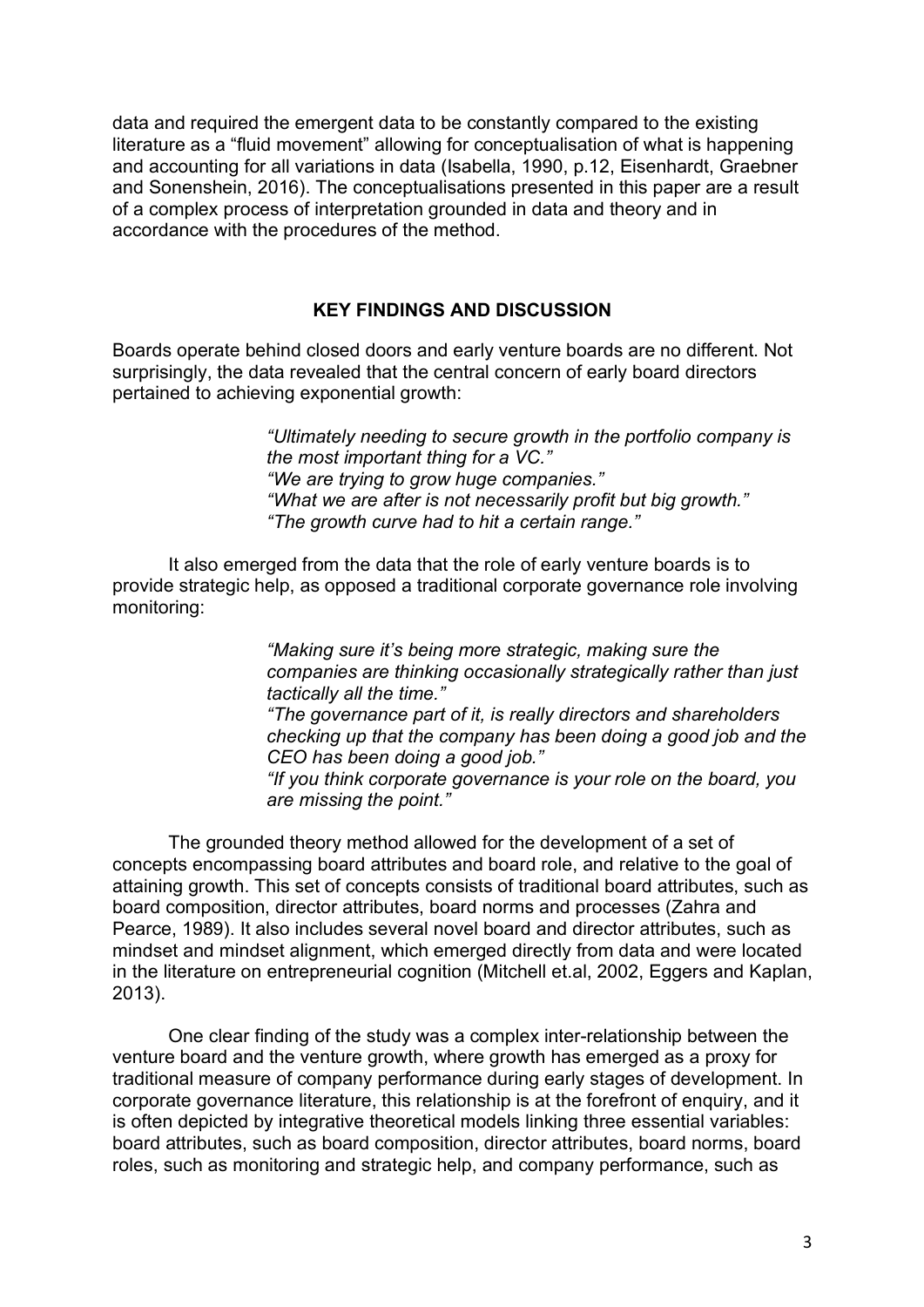data and required the emergent data to be constantly compared to the existing literature as a "fluid movement" allowing for conceptualisation of what is happening and accounting for all variations in data (Isabella, 1990, p.12, Eisenhardt, Graebner and Sonenshein, 2016). The conceptualisations presented in this paper are a result of a complex process of interpretation grounded in data and theory and in accordance with the procedures of the method.

#### **KEY FINDINGS AND DISCUSSION**

Boards operate behind closed doors and early venture boards are no different. Not surprisingly, the data revealed that the central concern of early board directors pertained to achieving exponential growth:

> *"Ultimately needing to secure growth in the portfolio company is the most important thing for a VC." "We are trying to grow huge companies." "What we are after is not necessarily profit but big growth." "The growth curve had to hit a certain range."*

It also emerged from the data that the role of early venture boards is to provide strategic help, as opposed a traditional corporate governance role involving monitoring:

> *"Making sure it's being more strategic, making sure the companies are thinking occasionally strategically rather than just tactically all the time."*

*"The governance part of it, is really directors and shareholders checking up that the company has been doing a good job and the CEO has been doing a good job."*

*"If you think corporate governance is your role on the board, you are missing the point."* 

The grounded theory method allowed for the development of a set of concepts encompassing board attributes and board role, and relative to the goal of attaining growth. This set of concepts consists of traditional board attributes, such as board composition, director attributes, board norms and processes (Zahra and Pearce, 1989). It also includes several novel board and director attributes, such as mindset and mindset alignment, which emerged directly from data and were located in the literature on entrepreneurial cognition (Mitchell et.al, 2002, Eggers and Kaplan, 2013).

One clear finding of the study was a complex inter-relationship between the venture board and the venture growth, where growth has emerged as a proxy for traditional measure of company performance during early stages of development. In corporate governance literature, this relationship is at the forefront of enquiry, and it is often depicted by integrative theoretical models linking three essential variables: board attributes, such as board composition, director attributes, board norms, board roles, such as monitoring and strategic help, and company performance, such as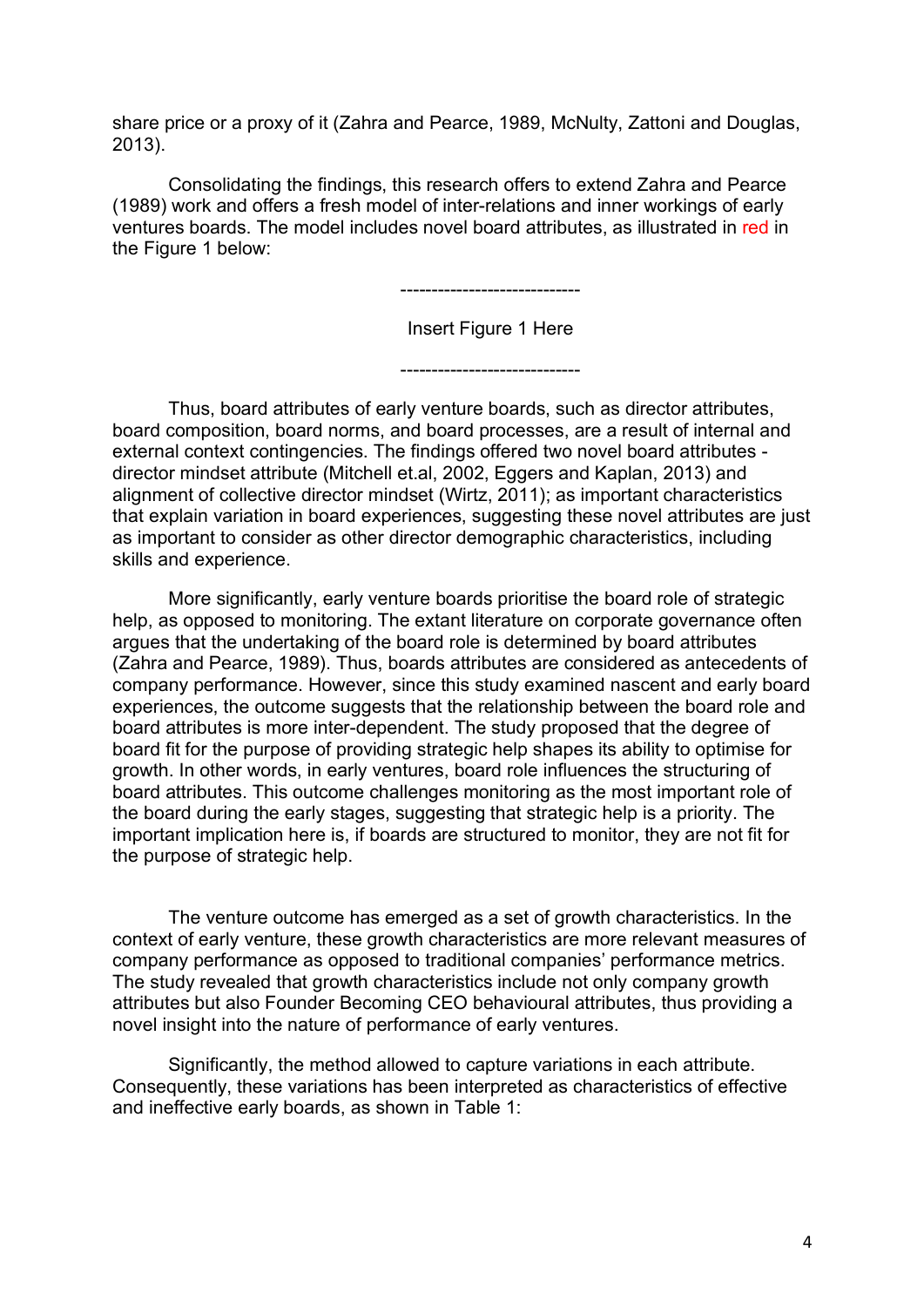share price or a proxy of it (Zahra and Pearce, 1989, McNulty, Zattoni and Douglas, 2013).

Consolidating the findings, this research offers to extend Zahra and Pearce (1989) work and offers a fresh model of inter-relations and inner workings of early ventures boards. The model includes novel board attributes, as illustrated in red in the Figure 1 below:

-----------------------------

Insert Figure 1 Here

-----------------------------

Thus, board attributes of early venture boards, such as director attributes, board composition, board norms, and board processes, are a result of internal and external context contingencies. The findings offered two novel board attributes director mindset attribute (Mitchell et.al, 2002, Eggers and Kaplan, 2013) and alignment of collective director mindset (Wirtz, 2011); as important characteristics that explain variation in board experiences, suggesting these novel attributes are just as important to consider as other director demographic characteristics, including skills and experience.

More significantly, early venture boards prioritise the board role of strategic help, as opposed to monitoring. The extant literature on corporate governance often argues that the undertaking of the board role is determined by board attributes (Zahra and Pearce, 1989). Thus, boards attributes are considered as antecedents of company performance. However, since this study examined nascent and early board experiences, the outcome suggests that the relationship between the board role and board attributes is more inter-dependent. The study proposed that the degree of board fit for the purpose of providing strategic help shapes its ability to optimise for growth. In other words, in early ventures, board role influences the structuring of board attributes. This outcome challenges monitoring as the most important role of the board during the early stages, suggesting that strategic help is a priority. The important implication here is, if boards are structured to monitor, they are not fit for the purpose of strategic help.

The venture outcome has emerged as a set of growth characteristics. In the context of early venture, these growth characteristics are more relevant measures of company performance as opposed to traditional companies' performance metrics. The study revealed that growth characteristics include not only company growth attributes but also Founder Becoming CEO behavioural attributes, thus providing a novel insight into the nature of performance of early ventures.

Significantly, the method allowed to capture variations in each attribute. Consequently, these variations has been interpreted as characteristics of effective and ineffective early boards, as shown in Table 1: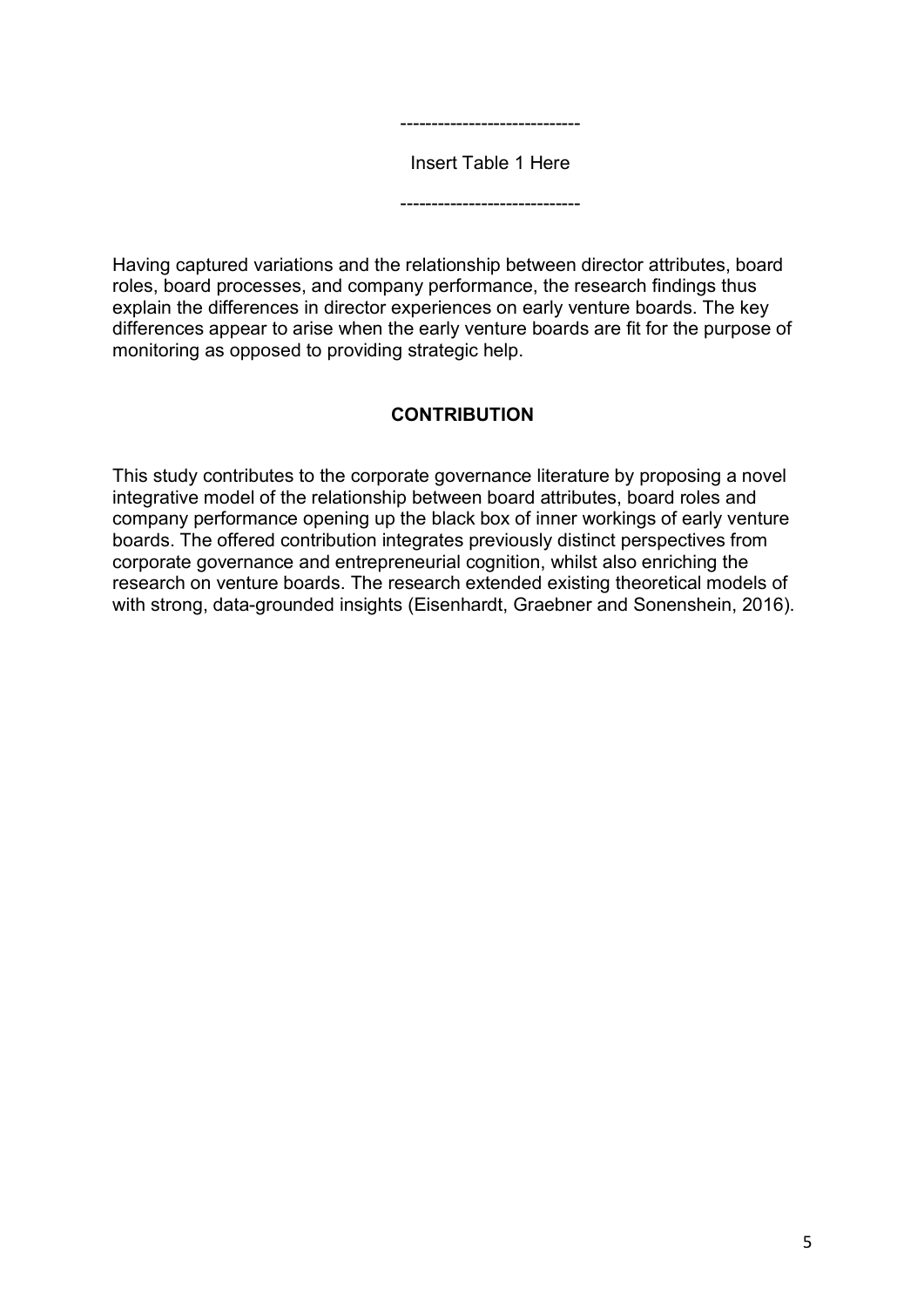

-----------------------------

Having captured variations and the relationship between director attributes, board roles, board processes, and company performance, the research findings thus explain the differences in director experiences on early venture boards. The key differences appear to arise when the early venture boards are fit for the purpose of monitoring as opposed to providing strategic help.

#### **CONTRIBUTION**

This study contributes to the corporate governance literature by proposing a novel integrative model of the relationship between board attributes, board roles and company performance opening up the black box of inner workings of early venture boards. The offered contribution integrates previously distinct perspectives from corporate governance and entrepreneurial cognition, whilst also enriching the research on venture boards. The research extended existing theoretical models of with strong, data-grounded insights (Eisenhardt, Graebner and Sonenshein, 2016).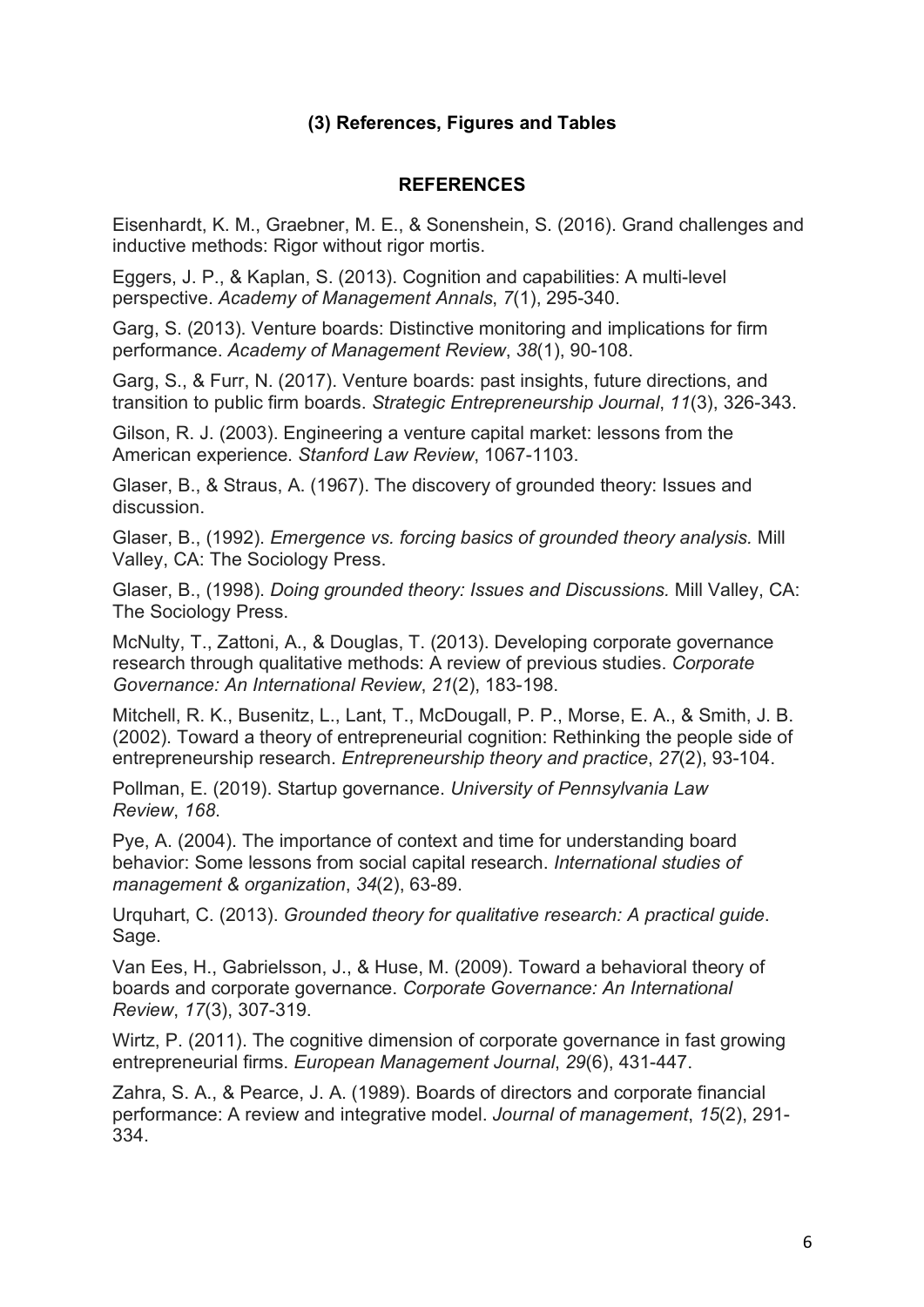### **(3) References, Figures and Tables**

#### **REFERENCES**

Eisenhardt, K. M., Graebner, M. E., & Sonenshein, S. (2016). Grand challenges and inductive methods: Rigor without rigor mortis.

Eggers, J. P., & Kaplan, S. (2013). Cognition and capabilities: A multi-level perspective. *Academy of Management Annals*, *7*(1), 295-340.

Garg, S. (2013). Venture boards: Distinctive monitoring and implications for firm performance. *Academy of Management Review*, *38*(1), 90-108.

Garg, S., & Furr, N. (2017). Venture boards: past insights, future directions, and transition to public firm boards. *Strategic Entrepreneurship Journal*, *11*(3), 326-343.

Gilson, R. J. (2003). Engineering a venture capital market: lessons from the American experience. *Stanford Law Review*, 1067-1103.

Glaser, B., & Straus, A. (1967). The discovery of grounded theory: Issues and discussion.

Glaser, B., (1992). *Emergence vs. forcing basics of grounded theory analysis.* Mill Valley, CA: The Sociology Press.

Glaser, B., (1998). *Doing grounded theory: Issues and Discussions.* Mill Valley, CA: The Sociology Press.

McNulty, T., Zattoni, A., & Douglas, T. (2013). Developing corporate governance research through qualitative methods: A review of previous studies. *Corporate Governance: An International Review*, *21*(2), 183-198.

Mitchell, R. K., Busenitz, L., Lant, T., McDougall, P. P., Morse, E. A., & Smith, J. B. (2002). Toward a theory of entrepreneurial cognition: Rethinking the people side of entrepreneurship research. *Entrepreneurship theory and practice*, *27*(2), 93-104.

Pollman, E. (2019). Startup governance. *University of Pennsylvania Law Review*, *168*.

Pye, A. (2004). The importance of context and time for understanding board behavior: Some lessons from social capital research. *International studies of management & organization*, *34*(2), 63-89.

Urquhart, C. (2013). *Grounded theory for qualitative research: A practical guide*. Sage.

Van Ees, H., Gabrielsson, J., & Huse, M. (2009). Toward a behavioral theory of boards and corporate governance. *Corporate Governance: An International Review*, *17*(3), 307-319.

Wirtz, P. (2011). The cognitive dimension of corporate governance in fast growing entrepreneurial firms. *European Management Journal*, *29*(6), 431-447.

Zahra, S. A., & Pearce, J. A. (1989). Boards of directors and corporate financial performance: A review and integrative model. *Journal of management*, *15*(2), 291- 334.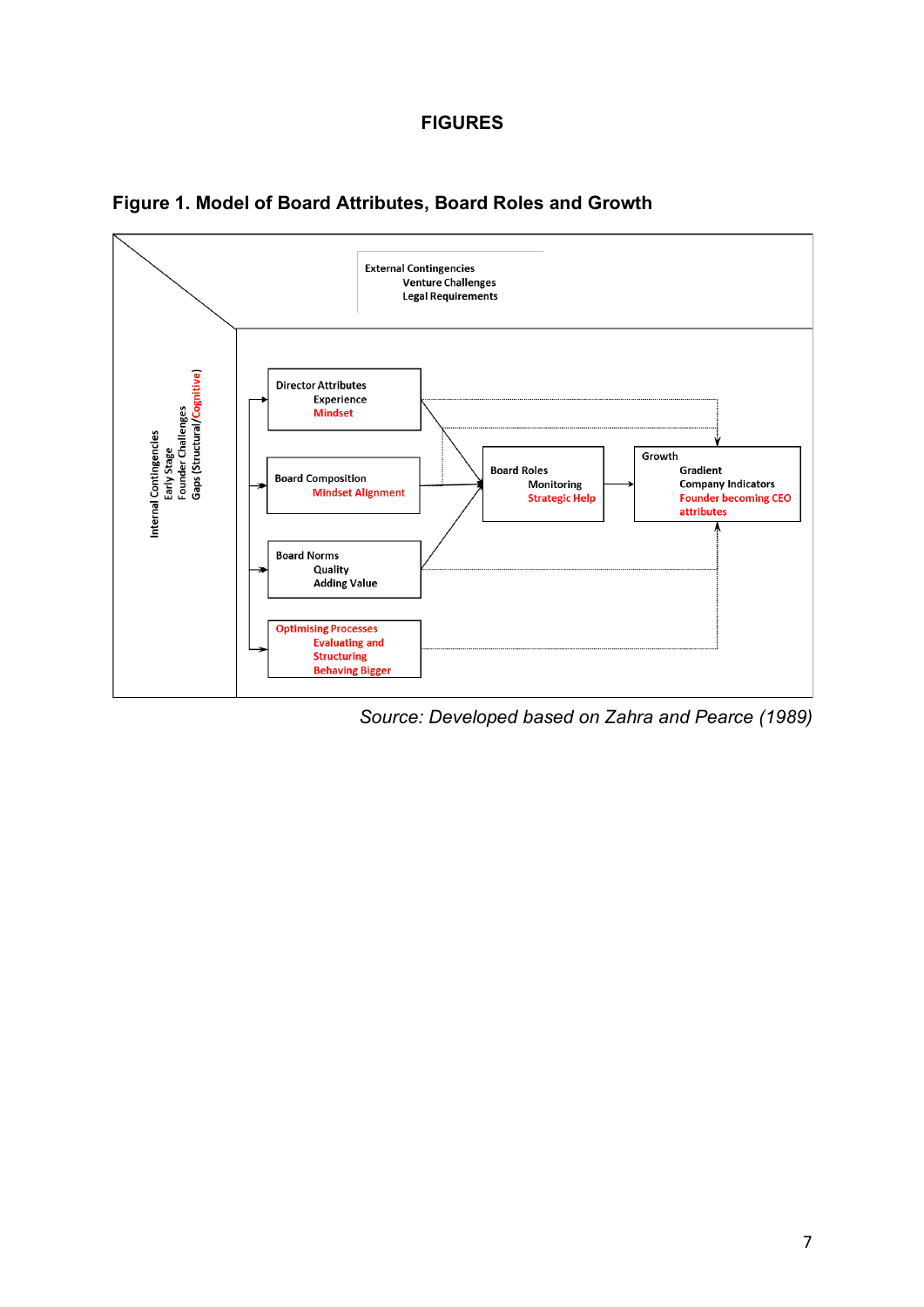#### **FIGURES**



**Figure 1. Model of Board Attributes, Board Roles and Growth**

*Source: Developed based on Zahra and Pearce (1989)*